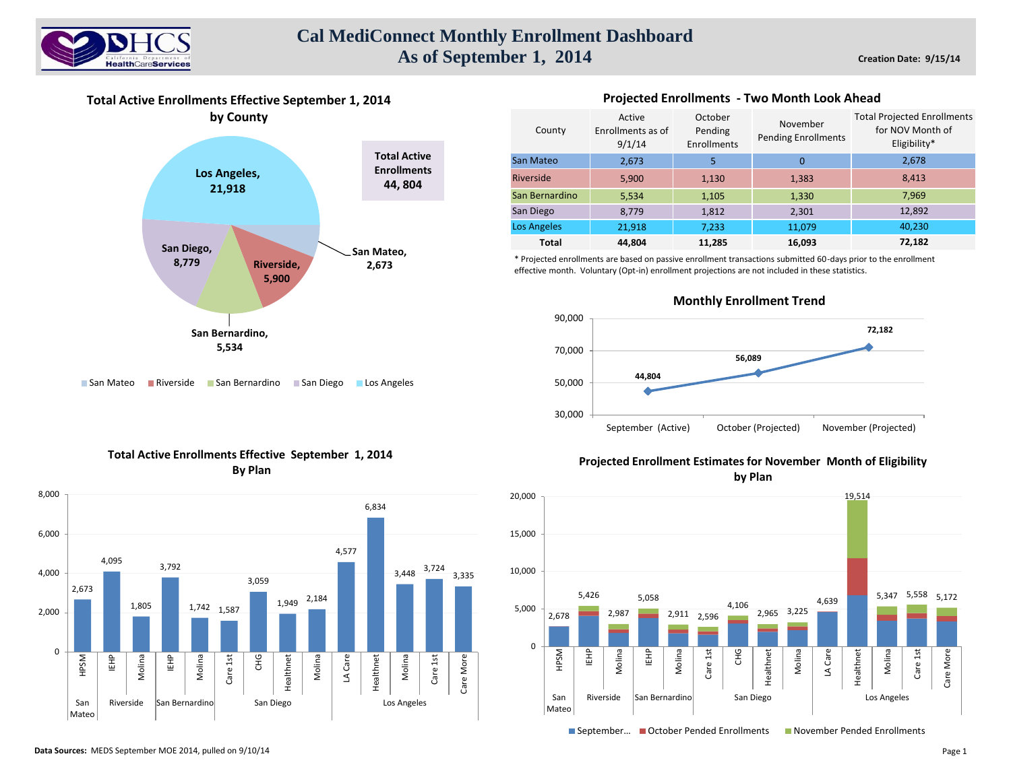

# **Cal MediConnect Monthly Enrollment Dashboard As of September 1, 2014**

**Total Active Enrollments Effective September 1, 2014 by County**



■ San Mateo **Riverside Ban Bernardino** San Diego **Los Angeles** 

#### Active Enrollments as of 9/1/14 October Pending Enrollments November Pending Enrollments 2,673 5 0 5,900 1,130 1,383 5,534 1,105 1,330 8,779 1,812 2,301 21,918 7,233 11,079 **44,804 11,285 16,093** Total Projected Enrollments for NOV Month of Eligibility\* 2,678 8,413 7,969 12,892 40,230 **72,182** Los Angeles **Total** County San Mateo Riverside San Bernardino San Diego

**Projected Enrollments - Two Month Look Ahead** 

\* Projected enrollments are based on passive enrollment transactions submitted 60-days prior to the enrollment effective month. Voluntary (Opt-in) enrollment projections are not included in these statistics.



## **Monthly Enrollment Trend**





# **Projected Enrollment Estimates for November Month of Eligibility by Plan**



■ September… ■ October Pended Enrollments ■ November Pended Enrollments